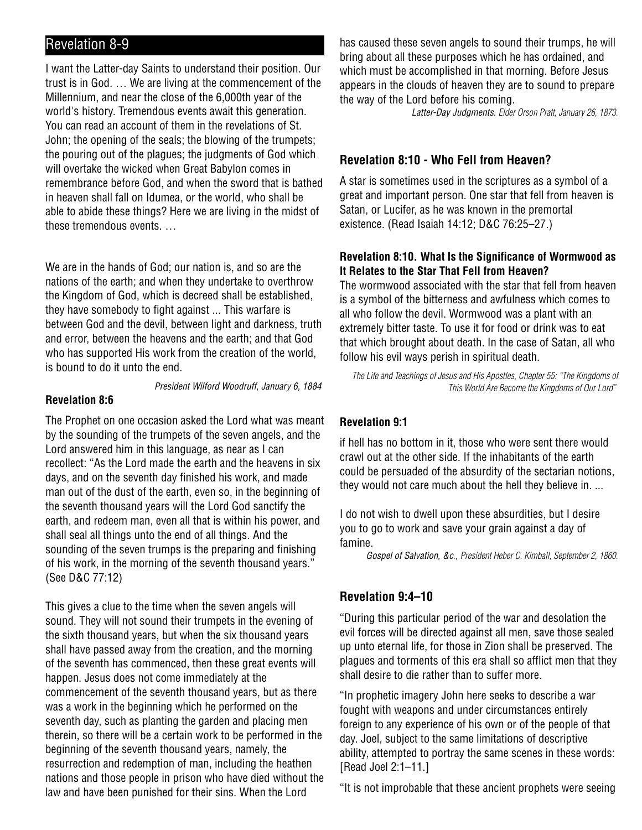# Revelation 8-9

I want the Latter-day Saints to understand their position. Our trust is in God. … We are living at the commencement of the Millennium, and near the close of the 6,000th year of the world's history. Tremendous events await this generation. You can read an account of them in the revelations of St. John; the opening of the seals; the blowing of the trumpets; the pouring out of the plagues; the judgments of God which will overtake the wicked when Great Babylon comes in remembrance before God, and when the sword that is bathed in heaven shall fall on Idumea, or the world, who shall be able to abide these things? Here we are living in the midst of these tremendous events. …

We are in the hands of God; our nation is, and so are the nations of the earth; and when they undertake to overthrow the Kingdom of God, which is decreed shall be established, they have somebody to fight against ... This warfare is between God and the devil, between light and darkness, truth and error, between the heavens and the earth; and that God who has supported His work from the creation of the world, is bound to do it unto the end.

#### President Wilford Woodruff, January 6, 1884

#### **Revelation 8:6**

The Prophet on one occasion asked the Lord what was meant by the sounding of the trumpets of the seven angels, and the Lord answered him in this language, as near as I can recollect: "As the Lord made the earth and the heavens in six days, and on the seventh day finished his work, and made man out of the dust of the earth, even so, in the beginning of the seventh thousand years will the Lord God sanctify the earth, and redeem man, even all that is within his power, and shall seal all things unto the end of all things. And the sounding of the seven trumps is the preparing and finishing of his work, in the morning of the seventh thousand years." (See D&C 77:12)

This gives a clue to the time when the seven angels will sound. They will not sound their trumpets in the evening of the sixth thousand years, but when the six thousand years shall have passed away from the creation, and the morning of the seventh has commenced, then these great events will happen. Jesus does not come immediately at the commencement of the seventh thousand years, but as there was a work in the beginning which he performed on the seventh day, such as planting the garden and placing men therein, so there will be a certain work to be performed in the beginning of the seventh thousand years, namely, the resurrection and redemption of man, including the heathen nations and those people in prison who have died without the law and have been punished for their sins. When the Lord

has caused these seven angels to sound their trumps, he will bring about all these purposes which he has ordained, and which must be accomplished in that morning. Before Jesus appears in the clouds of heaven they are to sound to prepare the way of the Lord before his coming.

Latter-Day Judgments. Elder Orson Pratt, January 26, 1873.

## **Revelation 8:10 - Who Fell from Heaven?**

A star is sometimes used in the scriptures as a symbol of a great and important person. One star that fell from heaven is Satan, or Lucifer, as he was known in the premortal existence. (Read Isaiah 14:12; D&C 76:25–27.)

## **Revelation 8:10. What Is the Significance of Wormwood as It Relates to the Star That Fell from Heaven?**

The wormwood associated with the star that fell from heaven is a symbol of the bitterness and awfulness which comes to all who follow the devil. Wormwood was a plant with an extremely bitter taste. To use it for food or drink was to eat that which brought about death. In the case of Satan, all who follow his evil ways perish in spiritual death.

The Life and Teachings of Jesus and His Apostles, Chapter 55: "The Kingdoms of This World Are Become the Kingdoms of Our Lord"

## **Revelation 9:1**

if hell has no bottom in it, those who were sent there would crawl out at the other side. If the inhabitants of the earth could be persuaded of the absurdity of the sectarian notions, they would not care much about the hell they believe in. ...

I do not wish to dwell upon these absurdities, but I desire you to go to work and save your grain against a day of famine.

Gospel of Salvation, &c., President Heber C. Kimball, September 2, 1860.

## **Revelation 9:4–10**

"During this particular period of the war and desolation the evil forces will be directed against all men, save those sealed up unto eternal life, for those in Zion shall be preserved. The plagues and torments of this era shall so afflict men that they shall desire to die rather than to suffer more.

"In prophetic imagery John here seeks to describe a war fought with weapons and under circumstances entirely foreign to any experience of his own or of the people of that day. Joel, subject to the same limitations of descriptive ability, attempted to portray the same scenes in these words: [Read Joel 2:1–11.]

"It is not improbable that these ancient prophets were seeing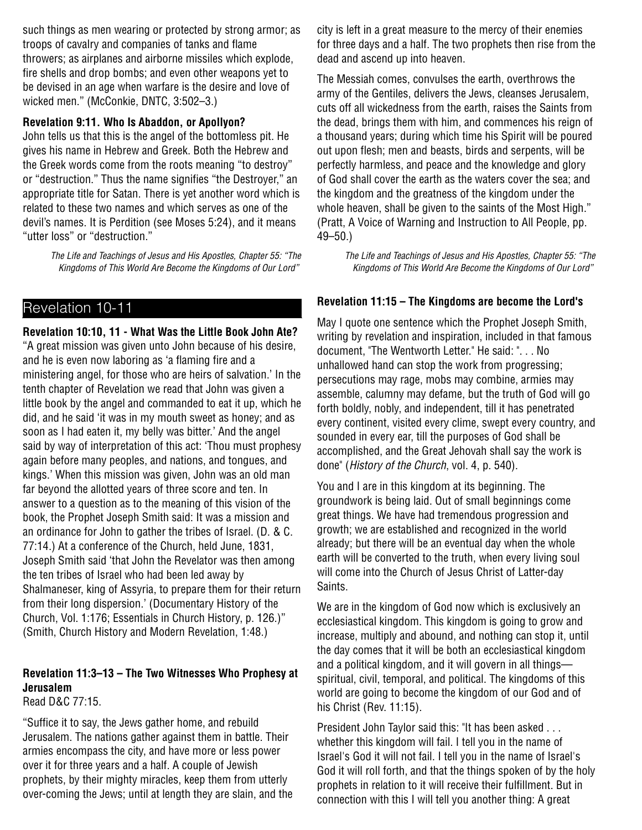such things as men wearing or protected by strong armor; as troops of cavalry and companies of tanks and flame throwers; as airplanes and airborne missiles which explode, fire shells and drop bombs; and even other weapons yet to be devised in an age when warfare is the desire and love of wicked men." (McConkie, DNTC, 3:502–3.)

#### **Revelation 9:11. Who Is Abaddon, or Apollyon?**

John tells us that this is the angel of the bottomless pit. He gives his name in Hebrew and Greek. Both the Hebrew and the Greek words come from the roots meaning "to destroy" or "destruction." Thus the name signifies "the Destroyer," an appropriate title for Satan. There is yet another word which is related to these two names and which serves as one of the devil's names. It is Perdition (see Moses 5:24), and it means "utter loss" or "destruction."

> The Life and Teachings of Jesus and His Apostles, Chapter 55: "The Kingdoms of This World Are Become the Kingdoms of Our Lord"

## Revelation 10-11

**Revelation 10:10, 11 - What Was the Little Book John Ate?** "A great mission was given unto John because of his desire, and he is even now laboring as 'a flaming fire and a ministering angel, for those who are heirs of salvation.' In the tenth chapter of Revelation we read that John was given a little book by the angel and commanded to eat it up, which he did, and he said 'it was in my mouth sweet as honey; and as soon as I had eaten it, my belly was bitter.' And the angel said by way of interpretation of this act: 'Thou must prophesy again before many peoples, and nations, and tongues, and kings.' When this mission was given, John was an old man far beyond the allotted years of three score and ten. In answer to a question as to the meaning of this vision of the book, the Prophet Joseph Smith said: It was a mission and an ordinance for John to gather the tribes of Israel. (D. & C. 77:14.) At a conference of the Church, held June, 1831, Joseph Smith said 'that John the Revelator was then among the ten tribes of Israel who had been led away by Shalmaneser, king of Assyria, to prepare them for their return from their long dispersion.' (Documentary History of the Church, Vol. 1:176; Essentials in Church History, p. 126.)" (Smith, Church History and Modern Revelation, 1:48.)

## **Revelation 11:3–13 – The Two Witnesses Who Prophesy at Jerusalem**

Read D&C 77:15.

"Suffice it to say, the Jews gather home, and rebuild Jerusalem. The nations gather against them in battle. Their armies encompass the city, and have more or less power over it for three years and a half. A couple of Jewish prophets, by their mighty miracles, keep them from utterly over-coming the Jews; until at length they are slain, and the city is left in a great measure to the mercy of their enemies for three days and a half. The two prophets then rise from the dead and ascend up into heaven.

The Messiah comes, convulses the earth, overthrows the army of the Gentiles, delivers the Jews, cleanses Jerusalem, cuts off all wickedness from the earth, raises the Saints from the dead, brings them with him, and commences his reign of a thousand years; during which time his Spirit will be poured out upon flesh; men and beasts, birds and serpents, will be perfectly harmless, and peace and the knowledge and glory of God shall cover the earth as the waters cover the sea; and the kingdom and the greatness of the kingdom under the whole heaven, shall be given to the saints of the Most High." (Pratt, A Voice of Warning and Instruction to All People, pp. 49–50.)

> The Life and Teachings of Jesus and His Apostles, Chapter 55: "The Kingdoms of This World Are Become the Kingdoms of Our Lord"

## **Revelation 11:15 – The Kingdoms are become the Lord's**

May I quote one sentence which the Prophet Joseph Smith, writing by revelation and inspiration, included in that famous document, "The Wentworth Letter." He said: ". . . No unhallowed hand can stop the work from progressing; persecutions may rage, mobs may combine, armies may assemble, calumny may defame, but the truth of God will go forth boldly, nobly, and independent, till it has penetrated every continent, visited every clime, swept every country, and sounded in every ear, till the purposes of God shall be accomplished, and the Great Jehovah shall say the work is done" (History of the Church, vol. 4, p. 540).

You and I are in this kingdom at its beginning. The groundwork is being laid. Out of small beginnings come great things. We have had tremendous progression and growth; we are established and recognized in the world already; but there will be an eventual day when the whole earth will be converted to the truth, when every living soul will come into the Church of Jesus Christ of Latter-day Saints.

We are in the kingdom of God now which is exclusively an ecclesiastical kingdom. This kingdom is going to grow and increase, multiply and abound, and nothing can stop it, until the day comes that it will be both an ecclesiastical kingdom and a political kingdom, and it will govern in all things spiritual, civil, temporal, and political. The kingdoms of this world are going to become the kingdom of our God and of his Christ (Rev. 11:15).

President John Taylor said this: "It has been asked . . . whether this kingdom will fail. I tell you in the name of Israel's God it will not fail. I tell you in the name of Israel's God it will roll forth, and that the things spoken of by the holy prophets in relation to it will receive their fulfillment. But in connection with this I will tell you another thing: A great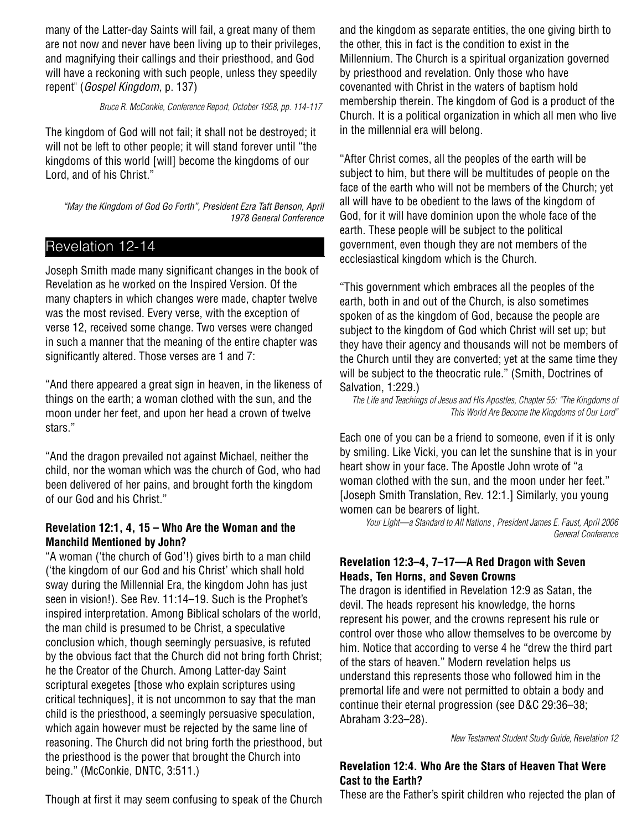many of the Latter-day Saints will fail, a great many of them are not now and never have been living up to their privileges, and magnifying their callings and their priesthood, and God will have a reckoning with such people, unless they speedily repent" (Gospel Kingdom, p. 137)

#### Bruce R. McConkie, Conference Report, October 1958, pp. 114-117

The kingdom of God will not fail; it shall not be destroyed; it will not be left to other people; it will stand forever until "the kingdoms of this world [will] become the kingdoms of our Lord, and of his Christ."

"May the Kingdom of God Go Forth", President Ezra Taft Benson, April 1978 General Conference

# Revelation 12-14

Joseph Smith made many significant changes in the book of Revelation as he worked on the Inspired Version. Of the many chapters in which changes were made, chapter twelve was the most revised. Every verse, with the exception of verse 12, received some change. Two verses were changed in such a manner that the meaning of the entire chapter was significantly altered. Those verses are 1 and 7:

"And there appeared a great sign in heaven, in the likeness of things on the earth; a woman clothed with the sun, and the moon under her feet, and upon her head a crown of twelve stars."

"And the dragon prevailed not against Michael, neither the child, nor the woman which was the church of God, who had been delivered of her pains, and brought forth the kingdom of our God and his Christ."

## **Revelation 12:1, 4, 15 – Who Are the Woman and the Manchild Mentioned by John?**

"A woman ('the church of God'!) gives birth to a man child ('the kingdom of our God and his Christ' which shall hold sway during the Millennial Era, the kingdom John has just seen in vision!). See Rev. 11:14–19. Such is the Prophet's inspired interpretation. Among Biblical scholars of the world, the man child is presumed to be Christ, a speculative conclusion which, though seemingly persuasive, is refuted by the obvious fact that the Church did not bring forth Christ; he the Creator of the Church. Among Latter-day Saint scriptural exegetes [those who explain scriptures using critical techniques], it is not uncommon to say that the man child is the priesthood, a seemingly persuasive speculation, which again however must be rejected by the same line of reasoning. The Church did not bring forth the priesthood, but the priesthood is the power that brought the Church into being." (McConkie, DNTC, 3:511.)

and the kingdom as separate entities, the one giving birth to the other, this in fact is the condition to exist in the Millennium. The Church is a spiritual organization governed by priesthood and revelation. Only those who have covenanted with Christ in the waters of baptism hold membership therein. The kingdom of God is a product of the Church. It is a political organization in which all men who live in the millennial era will belong.

"After Christ comes, all the peoples of the earth will be subject to him, but there will be multitudes of people on the face of the earth who will not be members of the Church; yet all will have to be obedient to the laws of the kingdom of God, for it will have dominion upon the whole face of the earth. These people will be subject to the political government, even though they are not members of the ecclesiastical kingdom which is the Church.

"This government which embraces all the peoples of the earth, both in and out of the Church, is also sometimes spoken of as the kingdom of God, because the people are subject to the kingdom of God which Christ will set up; but they have their agency and thousands will not be members of the Church until they are converted; yet at the same time they will be subject to the theocratic rule." (Smith, Doctrines of Salvation, 1:229.)

The Life and Teachings of Jesus and His Apostles, Chapter 55: "The Kingdoms of This World Are Become the Kingdoms of Our Lord"

Each one of you can be a friend to someone, even if it is only by smiling. Like Vicki, you can let the sunshine that is in your heart show in your face. The Apostle John wrote of "a woman clothed with the sun, and the moon under her feet." [Joseph Smith Translation, Rev. 12:1.] Similarly, you young women can be bearers of light.

Your Light—a Standard to All Nations , President James E. Faust, April 2006 General Conference

#### **Revelation 12:3–4, 7–17—A Red Dragon with Seven Heads, Ten Horns, and Seven Crowns**

The dragon is identified in Revelation 12:9 as Satan, the devil. The heads represent his knowledge, the horns represent his power, and the crowns represent his rule or control over those who allow themselves to be overcome by him. Notice that according to verse 4 he "drew the third part of the stars of heaven." Modern revelation helps us understand this represents those who followed him in the premortal life and were not permitted to obtain a body and continue their eternal progression (see D&C 29:36–38; Abraham 3:23–28).

New Testament Student Study Guide, Revelation 12

## **Revelation 12:4. Who Are the Stars of Heaven That Were Cast to the Earth?**

Though at first it may seem confusing to speak of the Church

These are the Father's spirit children who rejected the plan of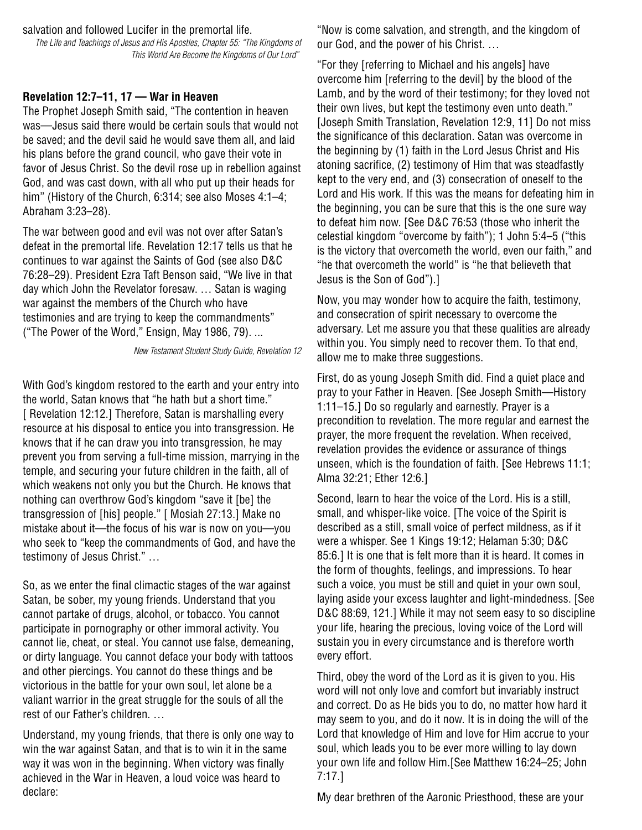salvation and followed Lucifer in the premortal life.

The Life and Teachings of Jesus and His Apostles, Chapter 55: "The Kingdoms of This World Are Become the Kingdoms of Our Lord"

## **Revelation 12:7–11, 17 — War in Heaven**

The Prophet Joseph Smith said, "The contention in heaven was—Jesus said there would be certain souls that would not be saved; and the devil said he would save them all, and laid his plans before the grand council, who gave their vote in favor of Jesus Christ. So the devil rose up in rebellion against God, and was cast down, with all who put up their heads for him" (History of the Church, 6:314; see also Moses 4:1–4; Abraham 3:23–28).

The war between good and evil was not over after Satan's defeat in the premortal life. Revelation 12:17 tells us that he continues to war against the Saints of God (see also D&C 76:28–29). President Ezra Taft Benson said, "We live in that day which John the Revelator foresaw. … Satan is waging war against the members of the Church who have testimonies and are trying to keep the commandments" ("The Power of the Word," Ensign, May 1986, 79). ...

New Testament Student Study Guide, Revelation 12

With God's kingdom restored to the earth and your entry into the world, Satan knows that "he hath but a short time." [ Revelation 12:12.] Therefore, Satan is marshalling every resource at his disposal to entice you into transgression. He knows that if he can draw you into transgression, he may prevent you from serving a full-time mission, marrying in the temple, and securing your future children in the faith, all of which weakens not only you but the Church. He knows that nothing can overthrow God's kingdom "save it [be] the transgression of [his] people." [ Mosiah 27:13.] Make no mistake about it—the focus of his war is now on you—you who seek to "keep the commandments of God, and have the testimony of Jesus Christ." …

So, as we enter the final climactic stages of the war against Satan, be sober, my young friends. Understand that you cannot partake of drugs, alcohol, or tobacco. You cannot participate in pornography or other immoral activity. You cannot lie, cheat, or steal. You cannot use false, demeaning, or dirty language. You cannot deface your body with tattoos and other piercings. You cannot do these things and be victorious in the battle for your own soul, let alone be a valiant warrior in the great struggle for the souls of all the rest of our Father's children. …

Understand, my young friends, that there is only one way to win the war against Satan, and that is to win it in the same way it was won in the beginning. When victory was finally achieved in the War in Heaven, a loud voice was heard to declare:

"Now is come salvation, and strength, and the kingdom of our God, and the power of his Christ. …

"For they [referring to Michael and his angels] have overcome him [referring to the devil] by the blood of the Lamb, and by the word of their testimony; for they loved not their own lives, but kept the testimony even unto death." [Joseph Smith Translation, Revelation 12:9, 11] Do not miss the significance of this declaration. Satan was overcome in the beginning by (1) faith in the Lord Jesus Christ and His atoning sacrifice, (2) testimony of Him that was steadfastly kept to the very end, and (3) consecration of oneself to the Lord and His work. If this was the means for defeating him in the beginning, you can be sure that this is the one sure way to defeat him now. [See D&C 76:53 (those who inherit the celestial kingdom "overcome by faith"); 1 John 5:4–5 ("this is the victory that overcometh the world, even our faith," and "he that overcometh the world" is "he that believeth that Jesus is the Son of God").]

Now, you may wonder how to acquire the faith, testimony, and consecration of spirit necessary to overcome the adversary. Let me assure you that these qualities are already within you. You simply need to recover them. To that end, allow me to make three suggestions.

First, do as young Joseph Smith did. Find a quiet place and pray to your Father in Heaven. [See Joseph Smith—History 1:11–15.] Do so regularly and earnestly. Prayer is a precondition to revelation. The more regular and earnest the prayer, the more frequent the revelation. When received, revelation provides the evidence or assurance of things unseen, which is the foundation of faith. [See Hebrews 11:1; Alma 32:21; Ether 12:6.]

Second, learn to hear the voice of the Lord. His is a still, small, and whisper-like voice. [The voice of the Spirit is described as a still, small voice of perfect mildness, as if it were a whisper. See 1 Kings 19:12; Helaman 5:30; D&C 85:6.] It is one that is felt more than it is heard. It comes in the form of thoughts, feelings, and impressions. To hear such a voice, you must be still and quiet in your own soul, laying aside your excess laughter and light-mindedness. [See D&C 88:69, 121.] While it may not seem easy to so discipline your life, hearing the precious, loving voice of the Lord will sustain you in every circumstance and is therefore worth every effort.

Third, obey the word of the Lord as it is given to you. His word will not only love and comfort but invariably instruct and correct. Do as He bids you to do, no matter how hard it may seem to you, and do it now. It is in doing the will of the Lord that knowledge of Him and love for Him accrue to your soul, which leads you to be ever more willing to lay down your own life and follow Him.[See Matthew 16:24–25; John 7:17.]

My dear brethren of the Aaronic Priesthood, these are your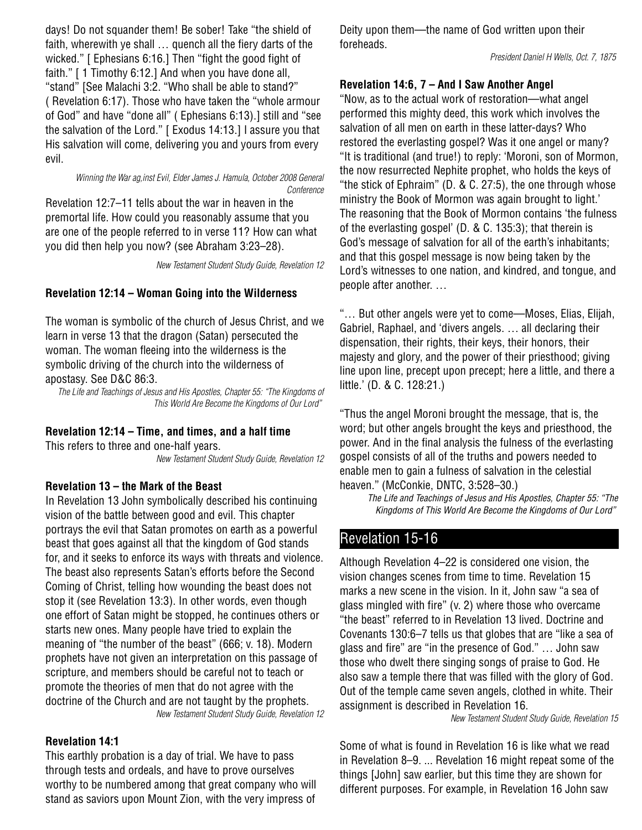days! Do not squander them! Be sober! Take "the shield of faith, wherewith ye shall … quench all the fiery darts of the wicked." [ Ephesians 6:16.] Then "fight the good fight of faith." [ 1 Timothy 6:12.] And when you have done all, "stand" [See Malachi 3:2. "Who shall be able to stand?" ( Revelation 6:17). Those who have taken the "whole armour of God" and have "done all" ( Ephesians 6:13).] still and "see the salvation of the Lord." [ Exodus 14:13.] I assure you that His salvation will come, delivering you and yours from every evil.

Winning the War ag,inst Evil, Elder James J. Hamula, October 2008 General Conference

Revelation 12:7–11 tells about the war in heaven in the premortal life. How could you reasonably assume that you are one of the people referred to in verse 11? How can what you did then help you now? (see Abraham 3:23–28).

New Testament Student Study Guide, Revelation 12

## **Revelation 12:14 – Woman Going into the Wilderness**

The woman is symbolic of the church of Jesus Christ, and we learn in verse 13 that the dragon (Satan) persecuted the woman. The woman fleeing into the wilderness is the symbolic driving of the church into the wilderness of apostasy. See D&C 86:3.

The Life and Teachings of Jesus and His Apostles, Chapter 55: "The Kingdoms of This World Are Become the Kingdoms of Our Lord"

### **Revelation 12:14 – Time, and times, and a half time**

This refers to three and one-half years. New Testament Student Study Guide, Revelation 12

#### **Revelation 13 – the Mark of the Beast**

In Revelation 13 John symbolically described his continuing vision of the battle between good and evil. This chapter portrays the evil that Satan promotes on earth as a powerful beast that goes against all that the kingdom of God stands for, and it seeks to enforce its ways with threats and violence. The beast also represents Satan's efforts before the Second Coming of Christ, telling how wounding the beast does not stop it (see Revelation 13:3). In other words, even though one effort of Satan might be stopped, he continues others or starts new ones. Many people have tried to explain the meaning of "the number of the beast" (666; v. 18). Modern prophets have not given an interpretation on this passage of scripture, and members should be careful not to teach or promote the theories of men that do not agree with the doctrine of the Church and are not taught by the prophets. New Testament Student Study Guide, Revelation 12

#### **Revelation 14:1**

This earthly probation is a day of trial. We have to pass through tests and ordeals, and have to prove ourselves worthy to be numbered among that great company who will stand as saviors upon Mount Zion, with the very impress of

Deity upon them—the name of God written upon their foreheads.

President Daniel H Wells, Oct. 7, 1875

#### **Revelation 14:6, 7 – And I Saw Another Angel**

"Now, as to the actual work of restoration—what angel performed this mighty deed, this work which involves the salvation of all men on earth in these latter-days? Who restored the everlasting gospel? Was it one angel or many? "It is traditional (and true!) to reply: 'Moroni, son of Mormon, the now resurrected Nephite prophet, who holds the keys of "the stick of Ephraim" (D. & C. 27:5), the one through whose ministry the Book of Mormon was again brought to light.' The reasoning that the Book of Mormon contains 'the fulness of the everlasting gospel' (D. & C. 135:3); that therein is God's message of salvation for all of the earth's inhabitants; and that this gospel message is now being taken by the Lord's witnesses to one nation, and kindred, and tongue, and people after another. …

"… But other angels were yet to come—Moses, Elias, Elijah, Gabriel, Raphael, and 'divers angels. … all declaring their dispensation, their rights, their keys, their honors, their majesty and glory, and the power of their priesthood; giving line upon line, precept upon precept; here a little, and there a little.' (D. & C. 128:21.)

"Thus the angel Moroni brought the message, that is, the word; but other angels brought the keys and priesthood, the power. And in the final analysis the fulness of the everlasting gospel consists of all of the truths and powers needed to enable men to gain a fulness of salvation in the celestial heaven." (McConkie, DNTC, 3:528–30.)

> The Life and Teachings of Jesus and His Apostles, Chapter 55: "The Kingdoms of This World Are Become the Kingdoms of Our Lord"

# Revelation 15-16

Although Revelation 4–22 is considered one vision, the vision changes scenes from time to time. Revelation 15 marks a new scene in the vision. In it, John saw "a sea of glass mingled with fire" (v. 2) where those who overcame "the beast" referred to in Revelation 13 lived. Doctrine and Covenants 130:6–7 tells us that globes that are "like a sea of glass and fire" are "in the presence of God." … John saw those who dwelt there singing songs of praise to God. He also saw a temple there that was filled with the glory of God. Out of the temple came seven angels, clothed in white. Their assignment is described in Revelation 16.

New Testament Student Study Guide, Revelation 15

Some of what is found in Revelation 16 is like what we read in Revelation 8–9. ... Revelation 16 might repeat some of the things [John] saw earlier, but this time they are shown for different purposes. For example, in Revelation 16 John saw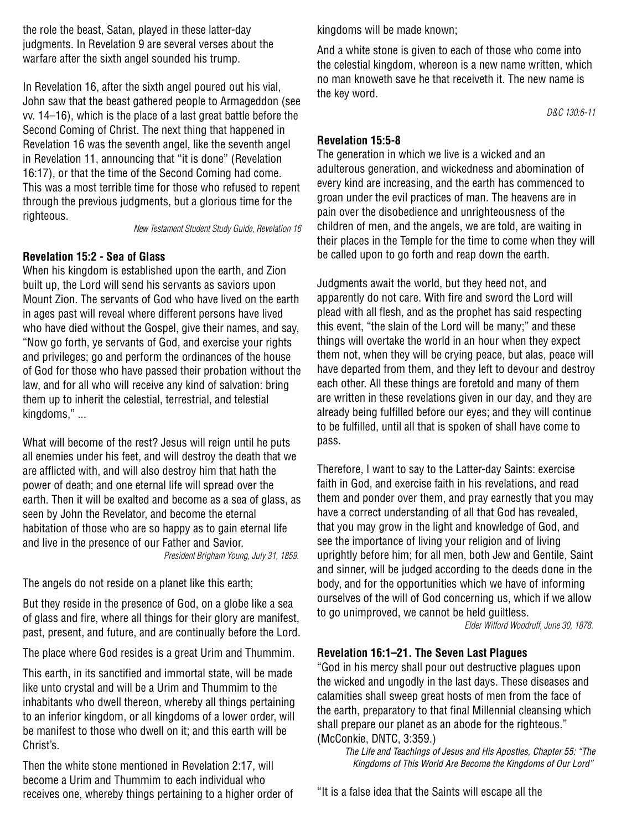the role the beast, Satan, played in these latter-day judgments. In Revelation 9 are several verses about the warfare after the sixth angel sounded his trump.

In Revelation 16, after the sixth angel poured out his vial, John saw that the beast gathered people to Armageddon (see vv. 14–16), which is the place of a last great battle before the Second Coming of Christ. The next thing that happened in Revelation 16 was the seventh angel, like the seventh angel in Revelation 11, announcing that "it is done" (Revelation 16:17), or that the time of the Second Coming had come. This was a most terrible time for those who refused to repent through the previous judgments, but a glorious time for the righteous.

New Testament Student Study Guide, Revelation 16

## **Revelation 15:2 - Sea of Glass**

When his kingdom is established upon the earth, and Zion built up, the Lord will send his servants as saviors upon Mount Zion. The servants of God who have lived on the earth in ages past will reveal where different persons have lived who have died without the Gospel, give their names, and say, "Now go forth, ye servants of God, and exercise your rights and privileges; go and perform the ordinances of the house of God for those who have passed their probation without the law, and for all who will receive any kind of salvation: bring them up to inherit the celestial, terrestrial, and telestial kingdoms," ...

What will become of the rest? Jesus will reign until he puts all enemies under his feet, and will destroy the death that we are afflicted with, and will also destroy him that hath the power of death; and one eternal life will spread over the earth. Then it will be exalted and become as a sea of glass, as seen by John the Revelator, and become the eternal habitation of those who are so happy as to gain eternal life and live in the presence of our Father and Savior. President Brigham Young, July 31, 1859.

The angels do not reside on a planet like this earth;

But they reside in the presence of God, on a globe like a sea of glass and fire, where all things for their glory are manifest, past, present, and future, and are continually before the Lord.

The place where God resides is a great Urim and Thummim.

This earth, in its sanctified and immortal state, will be made like unto crystal and will be a Urim and Thummim to the inhabitants who dwell thereon, whereby all things pertaining to an inferior kingdom, or all kingdoms of a lower order, will be manifest to those who dwell on it; and this earth will be Christ's.

Then the white stone mentioned in Revelation 2:17, will become a Urim and Thummim to each individual who receives one, whereby things pertaining to a higher order of kingdoms will be made known;

And a white stone is given to each of those who come into the celestial kingdom, whereon is a new name written, which no man knoweth save he that receiveth it. The new name is the key word.

D&C 130:6-11

## **Revelation 15:5-8**

The generation in which we live is a wicked and an adulterous generation, and wickedness and abomination of every kind are increasing, and the earth has commenced to groan under the evil practices of man. The heavens are in pain over the disobedience and unrighteousness of the children of men, and the angels, we are told, are waiting in their places in the Temple for the time to come when they will be called upon to go forth and reap down the earth.

Judgments await the world, but they heed not, and apparently do not care. With fire and sword the Lord will plead with all flesh, and as the prophet has said respecting this event, "the slain of the Lord will be many;" and these things will overtake the world in an hour when they expect them not, when they will be crying peace, but alas, peace will have departed from them, and they left to devour and destroy each other. All these things are foretold and many of them are written in these revelations given in our day, and they are already being fulfilled before our eyes; and they will continue to be fulfilled, until all that is spoken of shall have come to pass.

Therefore, I want to say to the Latter-day Saints: exercise faith in God, and exercise faith in his revelations, and read them and ponder over them, and pray earnestly that you may have a correct understanding of all that God has revealed, that you may grow in the light and knowledge of God, and see the importance of living your religion and of living uprightly before him; for all men, both Jew and Gentile, Saint and sinner, will be judged according to the deeds done in the body, and for the opportunities which we have of informing ourselves of the will of God concerning us, which if we allow to go unimproved, we cannot be held guiltless.

Elder Wilford Woodruff, June 30, 1878.

## **Revelation 16:1–21. The Seven Last Plagues**

"God in his mercy shall pour out destructive plagues upon the wicked and ungodly in the last days. These diseases and calamities shall sweep great hosts of men from the face of the earth, preparatory to that final Millennial cleansing which shall prepare our planet as an abode for the righteous." (McConkie, DNTC, 3:359.)

The Life and Teachings of Jesus and His Apostles, Chapter 55: "The Kingdoms of This World Are Become the Kingdoms of Our Lord"